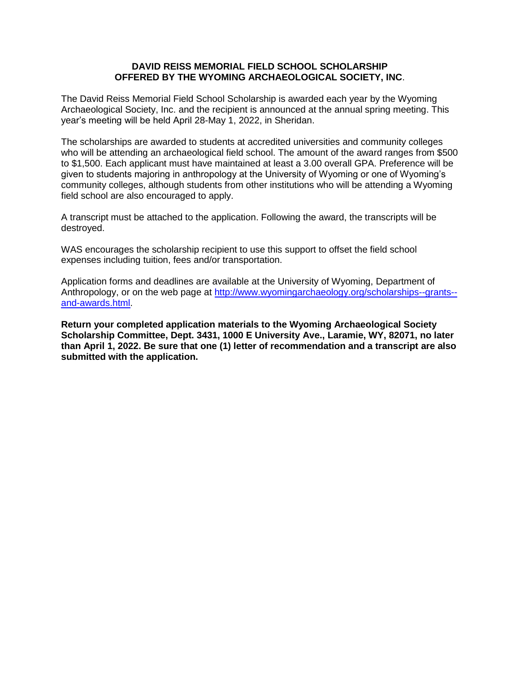## **DAVID REISS MEMORIAL FIELD SCHOOL SCHOLARSHIP OFFERED BY THE WYOMING ARCHAEOLOGICAL SOCIETY, INC**.

The David Reiss Memorial Field School Scholarship is awarded each year by the Wyoming Archaeological Society, Inc. and the recipient is announced at the annual spring meeting. This year's meeting will be held April 28-May 1, 2022, in Sheridan.

The scholarships are awarded to students at accredited universities and community colleges who will be attending an archaeological field school. The amount of the award ranges from \$500 to \$1,500. Each applicant must have maintained at least a 3.00 overall GPA. Preference will be given to students majoring in anthropology at the University of Wyoming or one of Wyoming's community colleges, although students from other institutions who will be attending a Wyoming field school are also encouraged to apply.

A transcript must be attached to the application. Following the award, the transcripts will be destroyed.

WAS encourages the scholarship recipient to use this support to offset the field school expenses including tuition, fees and/or transportation.

Application forms and deadlines are available at the University of Wyoming, Department of Anthropology, or on the web page at [http://www.wyomingarchaeology.org/scholarships--grants-](http://www.wyomingarchaeology.org/scholarships--grants--and-awards.html) [and-awards.html.](http://www.wyomingarchaeology.org/scholarships--grants--and-awards.html)

**Return your completed application materials to the Wyoming Archaeological Society Scholarship Committee, Dept. 3431, 1000 E University Ave., Laramie, WY, 82071, no later than April 1, 2022. Be sure that one (1) letter of recommendation and a transcript are also submitted with the application.**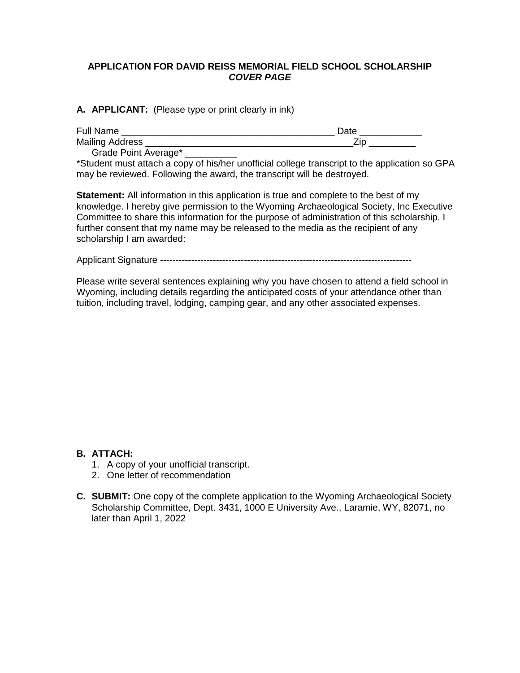# **APPLICATION FOR DAVID REISS MEMORIAL FIELD SCHOOL SCHOLARSHIP** *COVER PAGE*

## **A. APPLICANT:** (Please type or print clearly in ink)

| <b>Full Name</b>       |  |
|------------------------|--|
| <b>Mailing Address</b> |  |
| __ _                   |  |

Grade Point Average\* \_\_\_

\*Student must attach a copy of his/her unofficial college transcript to the application so GPA may be reviewed. Following the award, the transcript will be destroyed.

**Statement:** All information in this application is true and complete to the best of my knowledge. I hereby give permission to the Wyoming Archaeological Society, Inc Executive Committee to share this information for the purpose of administration of this scholarship. I further consent that my name may be released to the media as the recipient of any scholarship I am awarded:

Applicant Signature ---------------------------------------------------------------------------------

Please write several sentences explaining why you have chosen to attend a field school in Wyoming, including details regarding the anticipated costs of your attendance other than tuition, including travel, lodging, camping gear, and any other associated expenses.

# **B. ATTACH:**

- 1. A copy of your unofficial transcript.
- 2. One letter of recommendation
- **C. SUBMIT:** One copy of the complete application to the Wyoming Archaeological Society Scholarship Committee, Dept. 3431, 1000 E University Ave., Laramie, WY, 82071, no later than April 1, 2022